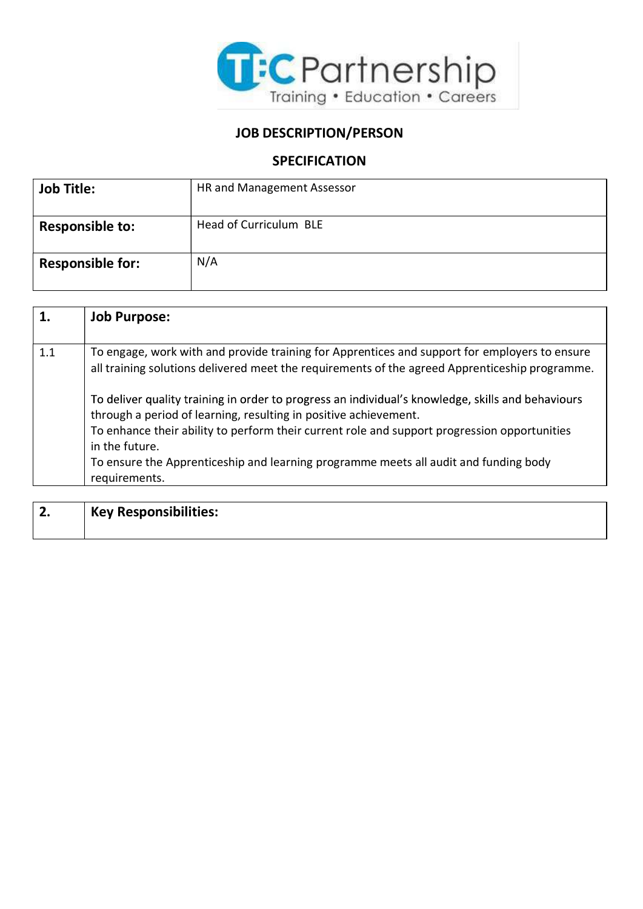

## JOB DESCRIPTION/PERSON

## **SPECIFICATION**

| <b>Job Title:</b>       | HR and Management Assessor |
|-------------------------|----------------------------|
|                         |                            |
| <b>Responsible to:</b>  | Head of Curriculum BLE     |
| <b>Responsible for:</b> | N/A                        |

|     | <b>Job Purpose:</b>                                                                                                                                                                                                                                                                                                                                                                              |
|-----|--------------------------------------------------------------------------------------------------------------------------------------------------------------------------------------------------------------------------------------------------------------------------------------------------------------------------------------------------------------------------------------------------|
| 1.1 | To engage, work with and provide training for Apprentices and support for employers to ensure<br>all training solutions delivered meet the requirements of the agreed Apprenticeship programme.                                                                                                                                                                                                  |
|     | To deliver quality training in order to progress an individual's knowledge, skills and behaviours<br>through a period of learning, resulting in positive achievement.<br>To enhance their ability to perform their current role and support progression opportunities<br>in the future.<br>To ensure the Apprenticeship and learning programme meets all audit and funding body<br>requirements. |

| ┑<br>Ζ. | Key Responsibilities: |
|---------|-----------------------|
|         |                       |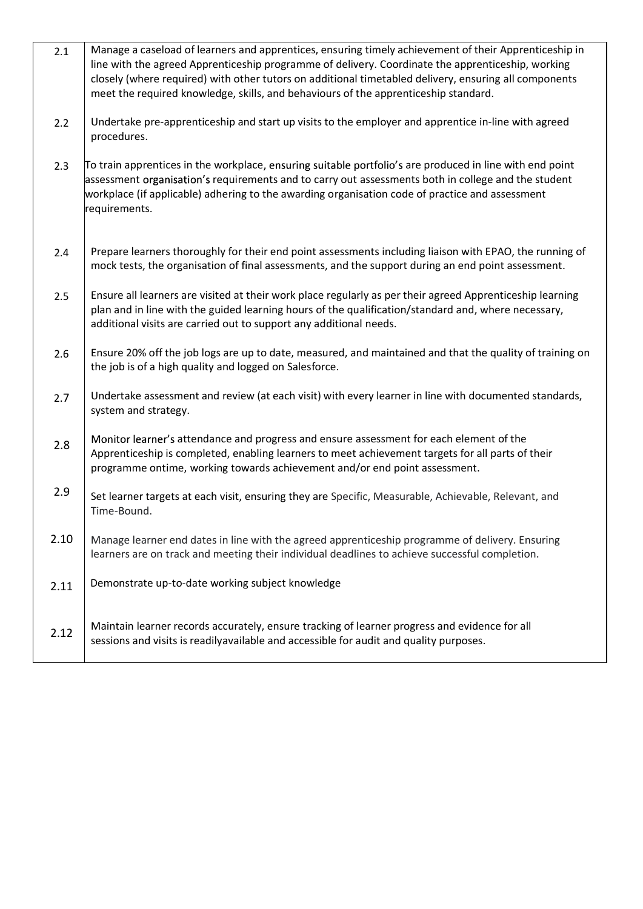| 2.1  | Manage a caseload of learners and apprentices, ensuring timely achievement of their Apprenticeship in<br>line with the agreed Apprenticeship programme of delivery. Coordinate the apprenticeship, working<br>closely (where required) with other tutors on additional timetabled delivery, ensuring all components<br>meet the required knowledge, skills, and behaviours of the apprenticeship standard. |
|------|------------------------------------------------------------------------------------------------------------------------------------------------------------------------------------------------------------------------------------------------------------------------------------------------------------------------------------------------------------------------------------------------------------|
| 2.2  | Undertake pre-apprenticeship and start up visits to the employer and apprentice in-line with agreed<br>procedures.                                                                                                                                                                                                                                                                                         |
| 2.3  | To train apprentices in the workplace, ensuring suitable portfolio's are produced in line with end point<br>assessment organisation's requirements and to carry out assessments both in college and the student<br>workplace (if applicable) adhering to the awarding organisation code of practice and assessment<br>requirements.                                                                        |
| 2.4  | Prepare learners thoroughly for their end point assessments including liaison with EPAO, the running of<br>mock tests, the organisation of final assessments, and the support during an end point assessment.                                                                                                                                                                                              |
| 2.5  | Ensure all learners are visited at their work place regularly as per their agreed Apprenticeship learning<br>plan and in line with the guided learning hours of the qualification/standard and, where necessary,<br>additional visits are carried out to support any additional needs.                                                                                                                     |
| 2.6  | Ensure 20% off the job logs are up to date, measured, and maintained and that the quality of training on<br>the job is of a high quality and logged on Salesforce.                                                                                                                                                                                                                                         |
| 2.7  | Undertake assessment and review (at each visit) with every learner in line with documented standards,<br>system and strategy.                                                                                                                                                                                                                                                                              |
| 2.8  | Monitor learner's attendance and progress and ensure assessment for each element of the<br>Apprenticeship is completed, enabling learners to meet achievement targets for all parts of their<br>programme ontime, working towards achievement and/or end point assessment.                                                                                                                                 |
| 2.9  | Set learner targets at each visit, ensuring they are Specific, Measurable, Achievable, Relevant, and<br>Time-Bound.                                                                                                                                                                                                                                                                                        |
| 2.10 | Manage learner end dates in line with the agreed apprenticeship programme of delivery. Ensuring<br>learners are on track and meeting their individual deadlines to achieve successful completion.                                                                                                                                                                                                          |
| 2.11 | Demonstrate up-to-date working subject knowledge                                                                                                                                                                                                                                                                                                                                                           |
| 2.12 | Maintain learner records accurately, ensure tracking of learner progress and evidence for all<br>sessions and visits is readilyavailable and accessible for audit and quality purposes.                                                                                                                                                                                                                    |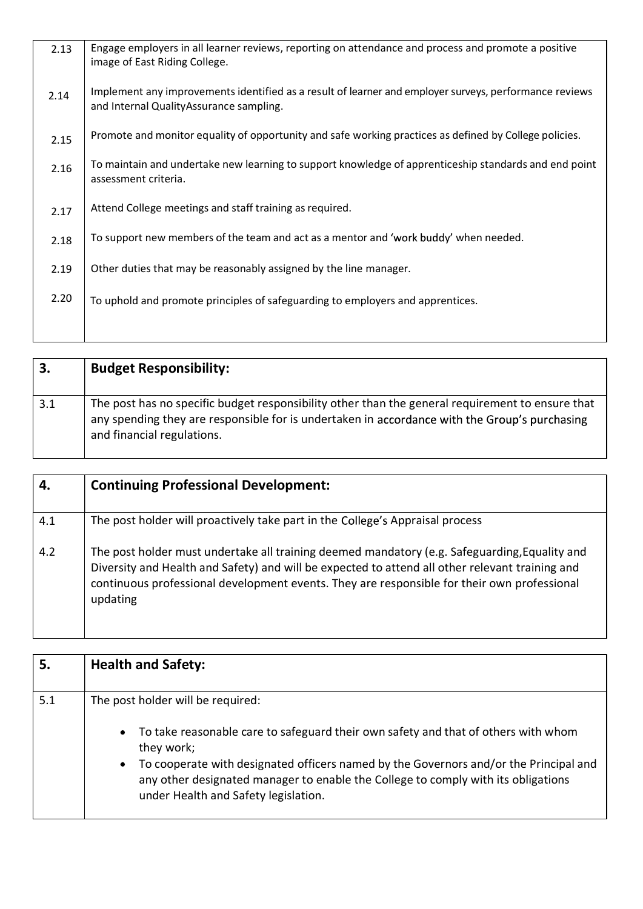| 2.13 | Engage employers in all learner reviews, reporting on attendance and process and promote a positive<br>image of East Riding College.              |
|------|---------------------------------------------------------------------------------------------------------------------------------------------------|
| 2.14 | Implement any improvements identified as a result of learner and employer surveys, performance reviews<br>and Internal QualityAssurance sampling. |
| 2.15 | Promote and monitor equality of opportunity and safe working practices as defined by College policies.                                            |
| 2.16 | To maintain and undertake new learning to support knowledge of apprenticeship standards and end point<br>assessment criteria.                     |
| 2.17 | Attend College meetings and staff training as required.                                                                                           |
| 2.18 | To support new members of the team and act as a mentor and 'work buddy' when needed.                                                              |
| 2.19 | Other duties that may be reasonably assigned by the line manager.                                                                                 |
| 2.20 | To uphold and promote principles of safeguarding to employers and apprentices.                                                                    |
|      |                                                                                                                                                   |

| 3.  | <b>Budget Responsibility:</b>                                                                                                                                                                                                   |
|-----|---------------------------------------------------------------------------------------------------------------------------------------------------------------------------------------------------------------------------------|
| 3.1 | The post has no specific budget responsibility other than the general requirement to ensure that<br>any spending they are responsible for is undertaken in accordance with the Group's purchasing<br>and financial regulations. |

|     | <b>Continuing Professional Development:</b>                                                                                                                                                                                                                                                                 |
|-----|-------------------------------------------------------------------------------------------------------------------------------------------------------------------------------------------------------------------------------------------------------------------------------------------------------------|
| 4.1 | The post holder will proactively take part in the College's Appraisal process                                                                                                                                                                                                                               |
| 4.2 | The post holder must undertake all training deemed mandatory (e.g. Safeguarding, Equality and<br>Diversity and Health and Safety) and will be expected to attend all other relevant training and<br>continuous professional development events. They are responsible for their own professional<br>updating |

l

|     | <b>Health and Safety:</b>                                                                                                                                                                                                       |
|-----|---------------------------------------------------------------------------------------------------------------------------------------------------------------------------------------------------------------------------------|
| 5.1 | The post holder will be required:                                                                                                                                                                                               |
|     | • To take reasonable care to safeguard their own safety and that of others with whom<br>they work;                                                                                                                              |
|     | To cooperate with designated officers named by the Governors and/or the Principal and<br>$\bullet$<br>any other designated manager to enable the College to comply with its obligations<br>under Health and Safety legislation. |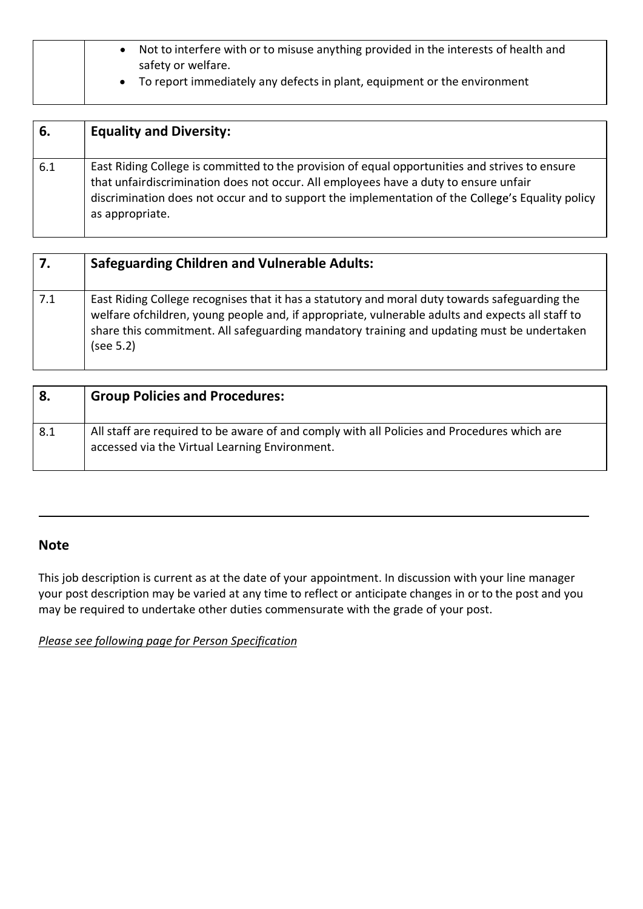| Not to interfere with or to misuse anything provided in the interests of health and<br>safety or welfare. |
|-----------------------------------------------------------------------------------------------------------|
| To report immediately any defects in plant, equipment or the environment                                  |

| 6.  | <b>Equality and Diversity:</b>                                                                                                                                                                                                                                                                                |
|-----|---------------------------------------------------------------------------------------------------------------------------------------------------------------------------------------------------------------------------------------------------------------------------------------------------------------|
| 6.1 | East Riding College is committed to the provision of equal opportunities and strives to ensure<br>that unfairdiscrimination does not occur. All employees have a duty to ensure unfair<br>discrimination does not occur and to support the implementation of the College's Equality policy<br>as appropriate. |

| 7.  | <b>Safeguarding Children and Vulnerable Adults:</b>                                                                                                                                                                                                                                                            |
|-----|----------------------------------------------------------------------------------------------------------------------------------------------------------------------------------------------------------------------------------------------------------------------------------------------------------------|
| 7.1 | East Riding College recognises that it has a statutory and moral duty towards safeguarding the<br>welfare of children, young people and, if appropriate, vulnerable adults and expects all staff to<br>share this commitment. All safeguarding mandatory training and updating must be undertaken<br>(see 5.2) |

| 8.  | <b>Group Policies and Procedures:</b>                                                                                                         |
|-----|-----------------------------------------------------------------------------------------------------------------------------------------------|
| 8.1 | All staff are required to be aware of and comply with all Policies and Procedures which are<br>accessed via the Virtual Learning Environment. |

## Note

This job description is current as at the date of your appointment. In discussion with your line manager your post description may be varied at any time to reflect or anticipate changes in or to the post and you may be required to undertake other duties commensurate with the grade of your post.

Please see following page for Person Specification